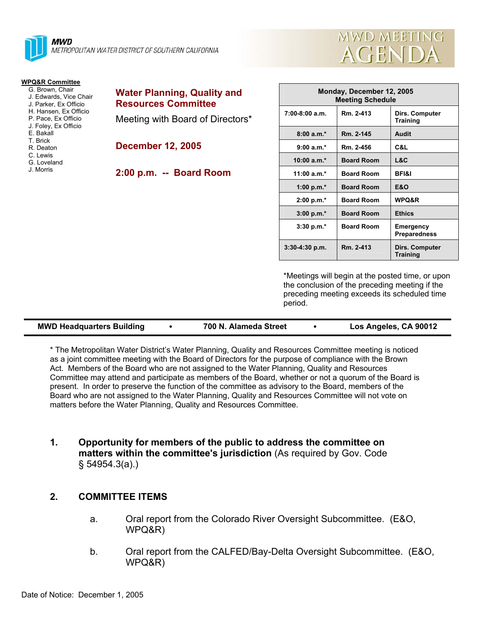

| <b>MWD MEETING</b> |
|--------------------|
| AGENDA             |
|                    |

| <b>WPQ&amp;R Committee</b> |              |
|----------------------------|--------------|
| G. Brown. Chair            | <b>Water</b> |
| J. Edwards, Vice Chair     |              |
| J. Parker. Ex Officio      | <b>Resou</b> |
| H. Hansen, Ex Officio      |              |
| P. Pace. Ex Officio        | Meetin       |
| J. Foley, Ex Officio       |              |
| F Bakall                   |              |
| T. Brick                   |              |
| R Deaton                   | Decem        |
| C. Lewis                   |              |
| G. Loveland                |              |
| J Morris                   | $2:00 p$ .   |
|                            |              |
|                            |              |
|                            |              |

| <b>Water Planning, Quality and</b> |  |  |  |  |  |
|------------------------------------|--|--|--|--|--|
| <b>Resources Committee</b>         |  |  |  |  |  |
| Meeting with Board of Directors*   |  |  |  |  |  |

**December 12, 2005** 

**2:00 p.m. -- Board Room** 

| Monday, December 12, 2005<br><b>Meeting Schedule</b> |                   |                                   |  |  |
|------------------------------------------------------|-------------------|-----------------------------------|--|--|
| $7:00-8:00$ a.m.                                     | Rm. 2-413         | Dirs. Computer<br><b>Training</b> |  |  |
| $8:00a.m.*$                                          | Rm. 2-145         | Audit                             |  |  |
| $9:00 a.m.*$                                         | Rm. 2-456         | C&L                               |  |  |
| $10:00 a.m.*$                                        | <b>Board Room</b> | L&C                               |  |  |
| 11:00 a.m. $*$                                       | <b>Board Room</b> | <b>BFI&amp;I</b>                  |  |  |
| 1:00 p.m. $*$                                        | <b>Board Room</b> | <b>E&amp;O</b>                    |  |  |
| 2:00 p.m.*                                           | <b>Board Room</b> | <b>WPQ&amp;R</b>                  |  |  |
| $3:00 p.m.*$                                         | <b>Board Room</b> | <b>Ethics</b>                     |  |  |
| $3:30$ p.m. $*$                                      | <b>Board Room</b> | Emergency<br><b>Preparedness</b>  |  |  |
| $3:30-4:30$ p.m.                                     | Rm. 2-413         | Dirs. Computer<br>Training        |  |  |

\*Meetings will begin at the posted time, or upon the conclusion of the preceding meeting if the preceding meeting exceeds its scheduled time period.

| <b>MWD Headquarters Building</b><br>700 N. Alameda Street |  |  |  |  | Los Angeles, CA 90012 |  |
|-----------------------------------------------------------|--|--|--|--|-----------------------|--|
|-----------------------------------------------------------|--|--|--|--|-----------------------|--|

\* The Metropolitan Water District's Water Planning, Quality and Resources Committee meeting is noticed as a joint committee meeting with the Board of Directors for the purpose of compliance with the Brown Act. Members of the Board who are not assigned to the Water Planning, Quality and Resources Committee may attend and participate as members of the Board, whether or not a quorum of the Board is present. In order to preserve the function of the committee as advisory to the Board, members of the Board who are not assigned to the Water Planning, Quality and Resources Committee will not vote on matters before the Water Planning, Quality and Resources Committee.

**1. Opportunity for members of the public to address the committee on matters within the committee's jurisdiction** (As required by Gov. Code § 54954.3(a).)

### **2. COMMITTEE ITEMS**

- a. Oral report from the Colorado River Oversight Subcommittee. (E&O, WPQ&R)
- b. Oral report from the CALFED/Bay-Delta Oversight Subcommittee. (E&O, WPQ&R)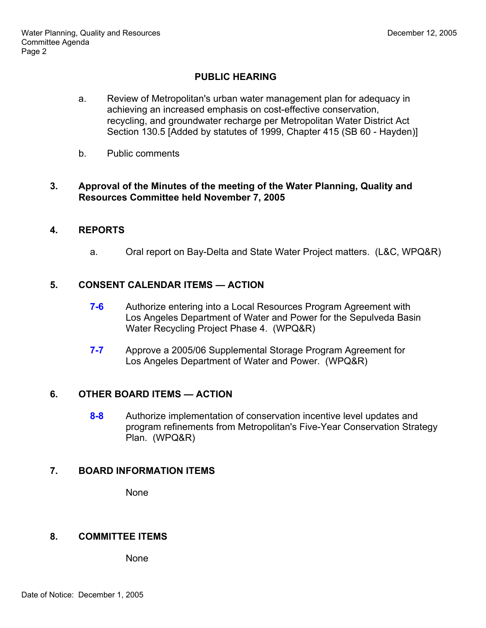# **PUBLIC HEARING**

- a. Review of Metropolitan's urban water management plan for adequacy in achieving an increased emphasis on cost-effective conservation, recycling, and groundwater recharge per Metropolitan Water District Act Section 130.5 [Added by statutes of 1999, Chapter 415 (SB 60 - Hayden)]
- b. Public comments

### **3. Approval of the Minutes of the meeting of the Water Planning, Quality and Resources Committee held November 7, 2005**

### **4. REPORTS**

a. Oral report on Bay-Delta and State Water Project matters. (L&C, WPQ&R)

## **5. CONSENT CALENDAR ITEMS — ACTION**

- **7-6** Authorize entering into a Local Resources Program Agreement with Los Angeles Department of Water and Power for the Sepulveda Basin Water Recycling Project Phase 4. (WPQ&R)
- **7-7** Approve a 2005/06 Supplemental Storage Program Agreement for Los Angeles Department of Water and Power. (WPQ&R)

### **6. OTHER BOARD ITEMS — ACTION**

**8-8** Authorize implementation of conservation incentive level updates and program refinements from Metropolitan's Five-Year Conservation Strategy Plan. (WPQ&R)

### **7. BOARD INFORMATION ITEMS**

None

## **8. COMMITTEE ITEMS**

None